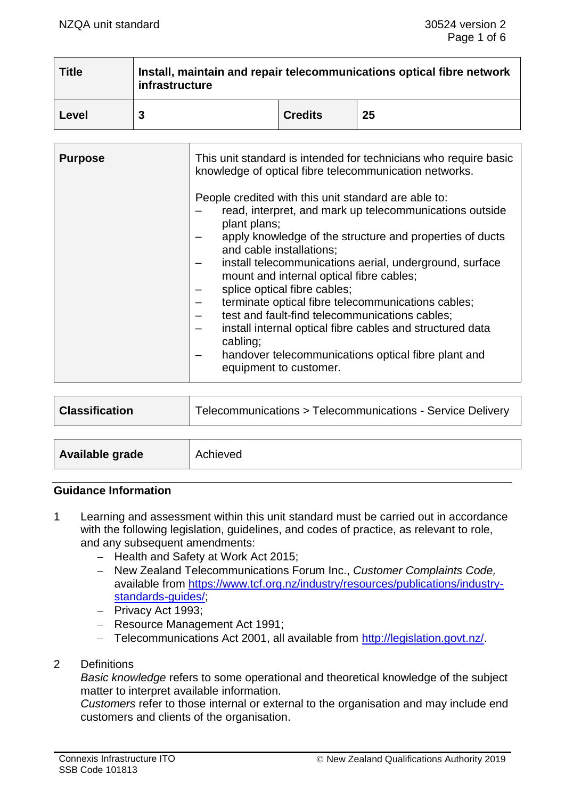| <b>Title</b> | Install, maintain and repair telecommunications optical fibre network<br>infrastructure |                |    |  |
|--------------|-----------------------------------------------------------------------------------------|----------------|----|--|
| Level        |                                                                                         | <b>Credits</b> | 25 |  |

| <b>Purpose</b> | This unit standard is intended for technicians who require basic<br>knowledge of optical fibre telecommunication networks.<br>People credited with this unit standard are able to:<br>read, interpret, and mark up telecommunications outside<br>plant plans;<br>apply knowledge of the structure and properties of ducts<br>and cable installations;<br>install telecommunications aerial, underground, surface<br>mount and internal optical fibre cables;<br>splice optical fibre cables;<br>terminate optical fibre telecommunications cables;<br>test and fault-find telecommunications cables;<br>install internal optical fibre cables and structured data<br>cabling;<br>handover telecommunications optical fibre plant and<br>equipment to customer. |
|----------------|----------------------------------------------------------------------------------------------------------------------------------------------------------------------------------------------------------------------------------------------------------------------------------------------------------------------------------------------------------------------------------------------------------------------------------------------------------------------------------------------------------------------------------------------------------------------------------------------------------------------------------------------------------------------------------------------------------------------------------------------------------------|
|                |                                                                                                                                                                                                                                                                                                                                                                                                                                                                                                                                                                                                                                                                                                                                                                |

| <b>Classification</b> | Telecommunications > Telecommunications - Service Delivery |  |
|-----------------------|------------------------------------------------------------|--|
|                       |                                                            |  |
| Available grade       | Achieved                                                   |  |

#### **Guidance Information**

- 1 Learning and assessment within this unit standard must be carried out in accordance with the following legislation, guidelines, and codes of practice, as relevant to role, and any subsequent amendments:
	- − Health and Safety at Work Act 2015;
	- − New Zealand Telecommunications Forum Inc., *Customer Complaints Code,* available from [https://www.tcf.org.nz/industry/resources/publications/industry](https://www.tcf.org.nz/industry/resources/publications/industry-standards-guides/)[standards-guides/;](https://www.tcf.org.nz/industry/resources/publications/industry-standards-guides/)
	- − Privacy Act 1993;
	- − Resource Management Act 1991;
	- − Telecommunications Act 2001, all available from [http://legislation.govt.nz/.](http://legislation.govt.nz/)
- 2 Definitions

*Basic knowledge* refers to some operational and theoretical knowledge of the subject matter to interpret available information.

*Customers* refer to those internal or external to the organisation and may include end customers and clients of the organisation.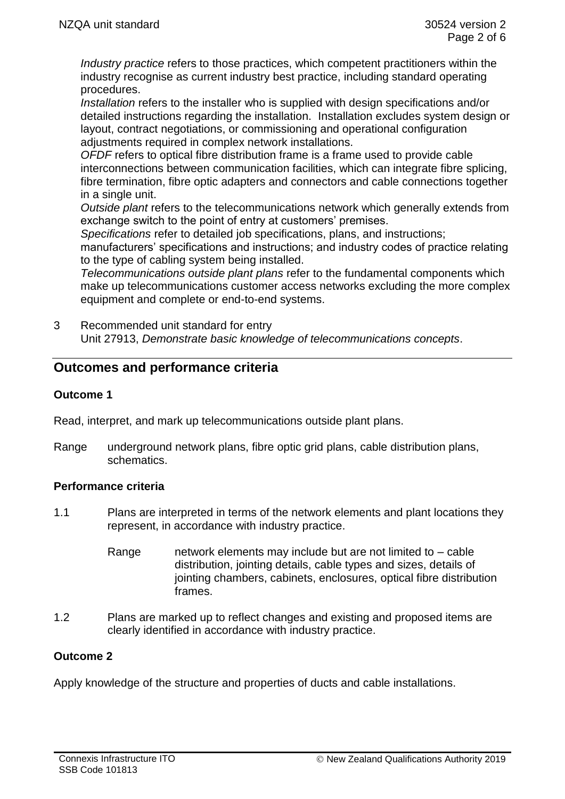*Industry practice* refers to those practices, which competent practitioners within the industry recognise as current industry best practice, including standard operating procedures.

*Installation* refers to the installer who is supplied with design specifications and/or detailed instructions regarding the installation. Installation excludes system design or layout, contract negotiations, or commissioning and operational configuration adjustments required in complex network installations.

*OFDF* refers to optical fibre distribution frame is a frame used to provide cable interconnections between communication facilities, which can integrate fibre splicing, fibre termination, fibre optic adapters and connectors and cable connections together in a single unit.

*Outside plant* refers to the telecommunications network which generally extends from exchange switch to the point of entry at customers' premises.

*Specifications* refer to detailed job specifications, plans, and instructions; manufacturers' specifications and instructions; and industry codes of practice relating to the type of cabling system being installed.

*Telecommunications outside plant plans* refer to the fundamental components which make up telecommunications customer access networks excluding the more complex equipment and complete or end-to-end systems.

3 Recommended unit standard for entry Unit 27913, *Demonstrate basic knowledge of telecommunications concepts*.

# **Outcomes and performance criteria**

### **Outcome 1**

Read, interpret, and mark up telecommunications outside plant plans.

Range underground network plans, fibre optic grid plans, cable distribution plans, schematics.

# **Performance criteria**

- 1.1 Plans are interpreted in terms of the network elements and plant locations they represent, in accordance with industry practice.
	- Range network elements may include but are not limited to cable distribution, jointing details, cable types and sizes, details of jointing chambers, cabinets, enclosures, optical fibre distribution frames.
- 1.2 Plans are marked up to reflect changes and existing and proposed items are clearly identified in accordance with industry practice.

# **Outcome 2**

Apply knowledge of the structure and properties of ducts and cable installations.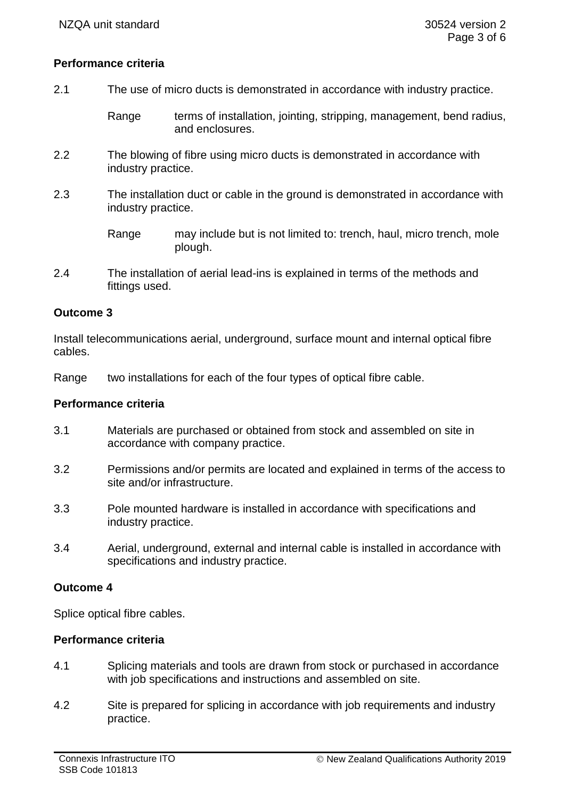### **Performance criteria**

- 2.1 The use of micro ducts is demonstrated in accordance with industry practice.
	- Range terms of installation, jointing, stripping, management, bend radius, and enclosures.
- 2.2 The blowing of fibre using micro ducts is demonstrated in accordance with industry practice.
- 2.3 The installation duct or cable in the ground is demonstrated in accordance with industry practice.
	- Range may include but is not limited to: trench, haul, micro trench, mole plough.
- 2.4 The installation of aerial lead-ins is explained in terms of the methods and fittings used.

### **Outcome 3**

Install telecommunications aerial, underground, surface mount and internal optical fibre cables.

Range two installations for each of the four types of optical fibre cable.

#### **Performance criteria**

- 3.1 Materials are purchased or obtained from stock and assembled on site in accordance with company practice.
- 3.2 Permissions and/or permits are located and explained in terms of the access to site and/or infrastructure.
- 3.3 Pole mounted hardware is installed in accordance with specifications and industry practice.
- 3.4 Aerial, underground, external and internal cable is installed in accordance with specifications and industry practice.

### **Outcome 4**

Splice optical fibre cables.

### **Performance criteria**

- 4.1 Splicing materials and tools are drawn from stock or purchased in accordance with job specifications and instructions and assembled on site.
- 4.2 Site is prepared for splicing in accordance with job requirements and industry practice.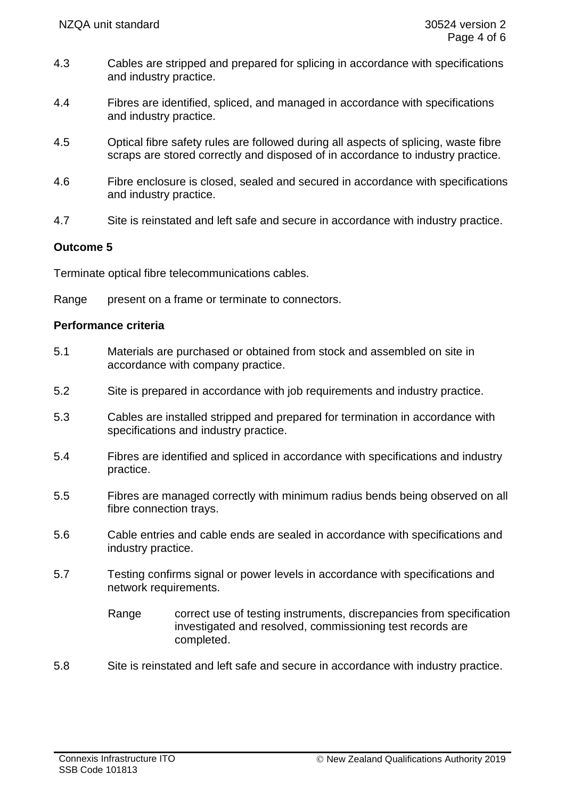- 4.3 Cables are stripped and prepared for splicing in accordance with specifications and industry practice.
- 4.4 Fibres are identified, spliced, and managed in accordance with specifications and industry practice.
- 4.5 Optical fibre safety rules are followed during all aspects of splicing, waste fibre scraps are stored correctly and disposed of in accordance to industry practice.
- 4.6 Fibre enclosure is closed, sealed and secured in accordance with specifications and industry practice.
- 4.7 Site is reinstated and left safe and secure in accordance with industry practice.

# **Outcome 5**

Terminate optical fibre telecommunications cables.

Range present on a frame or terminate to connectors.

### **Performance criteria**

- 5.1 Materials are purchased or obtained from stock and assembled on site in accordance with company practice.
- 5.2 Site is prepared in accordance with job requirements and industry practice.
- 5.3 Cables are installed stripped and prepared for termination in accordance with specifications and industry practice.
- 5.4 Fibres are identified and spliced in accordance with specifications and industry practice.
- 5.5 Fibres are managed correctly with minimum radius bends being observed on all fibre connection trays.
- 5.6 Cable entries and cable ends are sealed in accordance with specifications and industry practice.
- 5.7 Testing confirms signal or power levels in accordance with specifications and network requirements.

Range correct use of testing instruments, discrepancies from specification investigated and resolved, commissioning test records are completed.

5.8 Site is reinstated and left safe and secure in accordance with industry practice.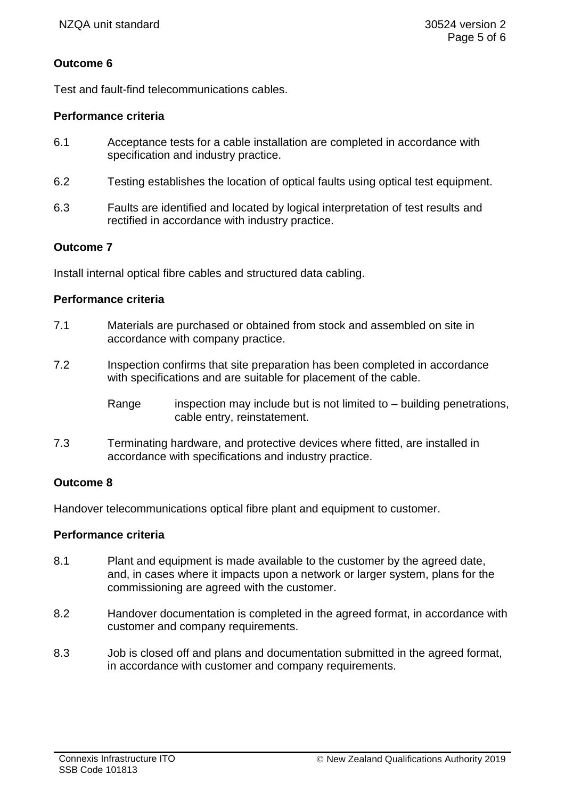# **Outcome 6**

Test and fault-find telecommunications cables.

### **Performance criteria**

- 6.1 Acceptance tests for a cable installation are completed in accordance with specification and industry practice.
- 6.2 Testing establishes the location of optical faults using optical test equipment.
- 6.3 Faults are identified and located by logical interpretation of test results and rectified in accordance with industry practice.

### **Outcome 7**

Install internal optical fibre cables and structured data cabling.

### **Performance criteria**

- 7.1 Materials are purchased or obtained from stock and assembled on site in accordance with company practice.
- 7.2 Inspection confirms that site preparation has been completed in accordance with specifications and are suitable for placement of the cable.
	- Range inspection may include but is not limited to  $-$  building penetrations, cable entry, reinstatement.
- 7.3 Terminating hardware, and protective devices where fitted, are installed in accordance with specifications and industry practice.

### **Outcome 8**

Handover telecommunications optical fibre plant and equipment to customer.

### **Performance criteria**

- 8.1 Plant and equipment is made available to the customer by the agreed date, and, in cases where it impacts upon a network or larger system, plans for the commissioning are agreed with the customer.
- 8.2 Handover documentation is completed in the agreed format, in accordance with customer and company requirements.
- 8.3 Job is closed off and plans and documentation submitted in the agreed format, in accordance with customer and company requirements.